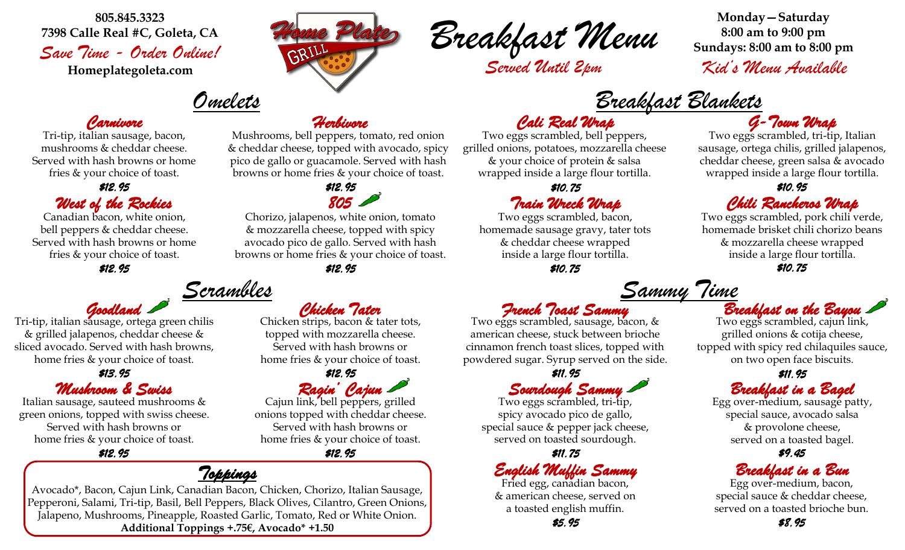**805.845.3323 7398 Calle Real #C, Goleta, CA** *Save Time - Order Online!*

**Homeplategoleta.com**

# *Omelets*

#### *Carnivore*

Tri-tip, italian sausage, bacon, mushrooms & cheddar cheese. Served with hash browns or home fries & your choice of toast.

*\$12.95* 

### *West of the Rockies 805*

Canadian bacon, white onion, bell peppers & cheddar cheese. Served with hash browns or home fries & your choice of toast.

*\$12.95 \$12.95* 

# *Scrambles*

*Goodland*  Tri-tip, italian sausage, ortega green chilis & grilled jalapenos, cheddar cheese & sliced avocado. Served with hash browns, home fries & your choice of toast.

#### *Mushroom & Swiss \$13.95*

Italian sausage, sauteed mushrooms & green onions, topped with swiss cheese. Served with hash browns or home fries & your choice of toast.

*\$12.95* 

*Herbivore* 

Mushrooms, bell peppers, tomato, red onion & cheddar cheese, topped with avocado, spicy pico de gallo or guacamole. Served with hash browns or home fries & your choice of toast.

*\$12.95* 

Chorizo, jalapenos, white onion, tomato & mozzarella cheese, topped with spicy avocado pico de gallo. Served with hash browns or home fries & your choice of toast.



*Served Until 2pm*

**Monday—Saturday**

*Kid's Menu Available*

*Breakfast Blankets*

## *Cali Real Wrap G-Town Wrap*

Two eggs scrambled, bell peppers, grilled onions, potatoes, mozzarella cheese & your choice of protein & salsa wrapped inside a large flour tortilla.

*\$10.75* 

## *Train Wreck Wrap*

Two eggs scrambled, bacon, homemade sausage gravy, tater tots & cheddar cheese wrapped inside a large flour tortilla.

*\$10.75* 

*French Toast Sammy* 

Two eggs scrambled, sausage, bacon, & american cheese, stuck between brioche cinnamon french toast slices, topped with powdered sugar. Syrup served on the side.

*Sourdough Sammy* 

Two eggs scrambled, tri-tip, spicy avocado pico de gallo, special sauce & pepper jack cheese, served on toasted sourdough.

*English Muffin Sammy* 

Fried egg, canadian bacon, & american cheese, served on a toasted english muffin.

Two eggs scrambled, tri-tip, Italian sausage, ortega chilis, grilled jalapenos, cheddar cheese, green salsa & avocado wrapped inside a large flour tortilla.

#### *\$10.95*

## *Chili Rancheros Wrap*

Two eggs scrambled, pork chili verde, homemade brisket chili chorizo beans & mozzarella cheese wrapped inside a large flour tortilla. *\$10.75* 

*Sammy Time*

## *Breakfast on the Bayou*

Two eggs scrambled, cajun link, grilled onions & cotija cheese, topped with spicy red chilaquiles sauce, on two open face biscuits.

#### *Breakfast in a Bagel \$11.95 \$11.95*

Egg over-medium, sausage patty, special sauce, avocado salsa & provolone cheese, served on a toasted bagel.

#### *\$11.75 \$9.45*

## *Breakfast in a Bun*

Egg over-medium, bacon, special sauce & cheddar cheese, served on a toasted brioche bun.

Chicken strips, bacon & tater tots,

topped with mozzarella cheese. Served with hash browns or home fries & your choice of toast.

*Ragin' Cajun*  Cajun link, bell peppers, grilled onions topped with cheddar cheese. *\$12.95* 

Served with hash browns or home fries & your choice of toast.

*\$12.95* 

## *Toppings*

Avocado\*, Bacon, Cajun Link, Canadian Bacon, Chicken, Chorizo, Italian Sausage, Pepperoni, Salami, Tri-tip, Basil, Bell Peppers, Black Olives, Cilantro, Green Onions, Jalapeno, Mushrooms, Pineapple, Roasted Garlic, Tomato, Red or White Onion. **Additional Toppings +.75€, Avocado\* +1.50**

# *Chicken Tater*